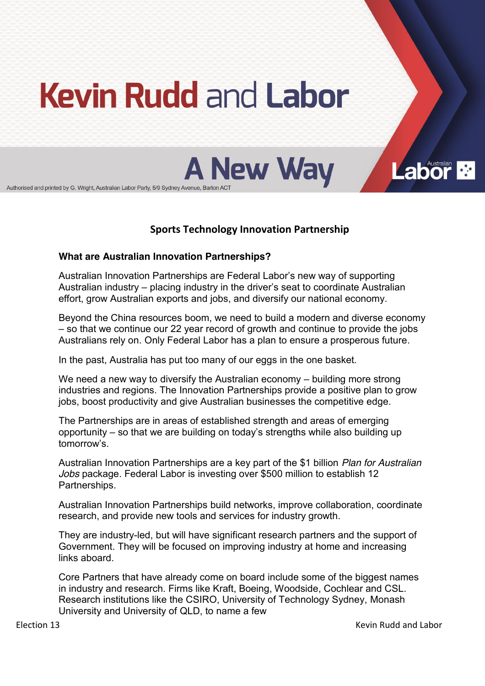# **Kevin Rudd and Labor**

**A New Way** 

Authorised and printed by G. Wright, Australian Labor Party, 5/9 Sydney Avenue, Barton ACT

# **Sports Technology Innovation Partnership**

### **What are Australian Innovation Partnerships?**

Australian Innovation Partnerships are Federal Labor's new way of supporting Australian industry – placing industry in the driver's seat to coordinate Australian effort, grow Australian exports and jobs, and diversify our national economy.

Beyond the China resources boom, we need to build a modern and diverse economy  $-$  so that we continue our 22 year record of growth and continue to provide the jobs Australians rely on. Only Federal Labor has a plan to ensure a prosperous future.

In the past, Australia has put too many of our eggs in the one basket.

We need a new way to diversify the Australian economy  $-$  building more strong industries and regions. The Innovation Partnerships provide a positive plan to grow jobs, boost productivity and give Australian businesses the competitive edge.

The Partnerships are in areas of established strength and areas of emerging opportunity  $-$  so that we are building on today's strengths while also building up tomorrow's.

Australian Innovation Partnerships are a key part of the \$1 billion *Plan for Australian Jobs* package. Federal Labor is investing over \$500 million to establish 12 Partnerships.

Australian Innovation Partnerships build networks, improve collaboration, coordinate research, and provide new tools and services for industry growth.

They are industry-led, but will have significant research partners and the support of Government. They will be focused on improving industry at home and increasing links aboard.

Core Partners that have already come on board include some of the biggest names in industry and research. Firms like Kraft, Boeing, Woodside, Cochlear and CSL. Research institutions like the CSIRO, University of Technology Sydney, Monash University and University of QLD, to name a few

**Labor**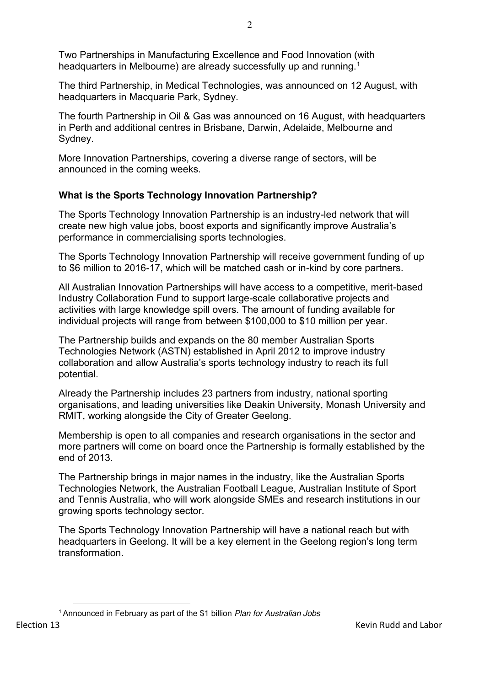Two Partnerships in Manufacturing Excellence and Food Innovation (with headquarters in Melbourne) are already successfully up and running.<sup>1</sup>

The third Partnership, in Medical Technologies, was announced on 12 August, with headquarters in Macquarie Park, Sydney.

The fourth Partnership in Oil & Gas was announced on 16 August, with headquarters in Perth and additional centres in Brisbane, Darwin, Adelaide, Melbourne and Sydney.

More Innovation Partnerships, covering a diverse range of sectors, will be announced in the coming weeks.

# **What is the Sports Technology Innovation Partnership?**

The Sports Technology Innovation Partnership is an industry-led network that will create new high value jobs, boost exports and significantly improve Australia's performance in commercialising sports technologies.

The Sports Technology Innovation Partnership will receive government funding of up to \$6 million to 2016-17, which will be matched cash or in-kind by core partners.

All Australian Innovation Partnerships will have access to a competitive, merit-based Industry Collaboration Fund to support large-scale collaborative projects and activities with large knowledge spill overs. The amount of funding available for individual projects will range from between \$100,000 to \$10 million per year.

The Partnership builds and expands on the 80 member Australian Sports Technologies Network (ASTN) established in April 2012 to improve industry collaboration and allow Australia's sports technology industry to reach its full potential.

Already the Partnership includes 23 partners from industry, national sporting organisations, and leading universities like Deakin University, Monash University and RMIT, working alongside the City of Greater Geelong.

Membership is open to all companies and research organisations in the sector and more partners will come on board once the Partnership is formally established by the end of 2013.

The Partnership brings in major names in the industry, like the Australian Sports Technologies Network, the Australian Football League, Australian Institute of Sport and Tennis Australia, who will work alongside SMEs and research institutions in our growing sports technology sector.

The Sports Technology Innovation Partnership will have a national reach but with headquarters in Geelong. It will be a key element in the Geelong region's long term transformation.

 $\overline{a}$ <sup>1</sup> Announced in February as part of the \$1 billion *Plan for Australian Jobs*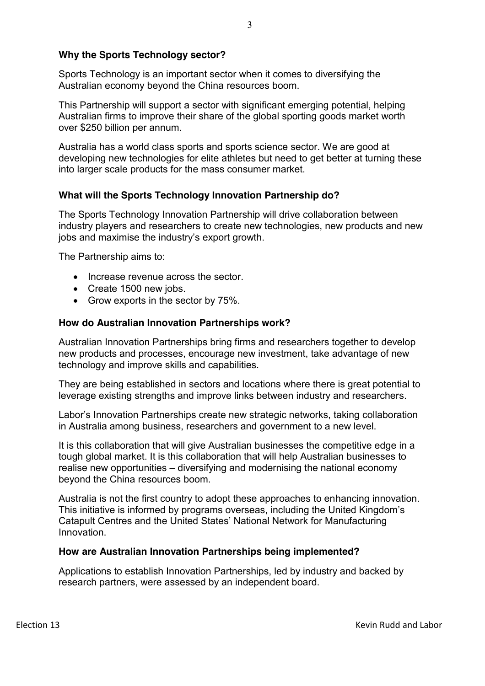## **Why the Sports Technology sector?**

Sports Technology is an important sector when it comes to diversifying the Australian economy beyond the China resources boom.

This Partnership will support a sector with significant emerging potential, helping Australian firms to improve their share of the global sporting goods market worth over \$250 billion per annum.

Australia has a world class sports and sports science sector. We are good at developing new technologies for elite athletes but need to get better at turning these into larger scale products for the mass consumer market.

## **What will the Sports Technology Innovation Partnership do?**

The Sports Technology Innovation Partnership will drive collaboration between industry players and researchers to create new technologies, new products and new jobs and maximise the industry's export growth.

The Partnership aims to:

- Increase revenue across the sector.
- $\bullet$  Create 1500 new jobs.
- $\bullet$  Grow exports in the sector by 75%.

### **How do Australian Innovation Partnerships work?**

Australian Innovation Partnerships bring firms and researchers together to develop new products and processes, encourage new investment, take advantage of new technology and improve skills and capabilities.

They are being established in sectors and locations where there is great potential to leverage existing strengths and improve links between industry and researchers.

Labor's Innovation Partnerships create new strategic networks, taking collaboration in Australia among business, researchers and government to a new level.

It is this collaboration that will give Australian businesses the competitive edge in a tough global market. It is this collaboration that will help Australian businesses to realise new opportunities – diversifying and modernising the national economy beyond the China resources boom.

Australia is not the first country to adopt these approaches to enhancing innovation. This initiative is informed by programs overseas, including the United Kingdom's Catapult Centres and the United States' National Network for Manufacturing Innovation.

### **How are Australian Innovation Partnerships being implemented?**

Applications to establish Innovation Partnerships, led by industry and backed by research partners, were assessed by an independent board.